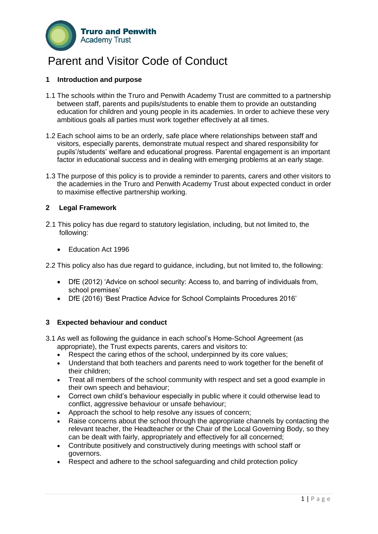

### Parent and Visitor Code of Conduct

#### **1 Introduction and purpose**

- 1.1 The schools within the Truro and Penwith Academy Trust are committed to a partnership between staff, parents and pupils/students to enable them to provide an outstanding education for children and young people in its academies. In order to achieve these very ambitious goals all parties must work together effectively at all times.
- 1.2 Each school aims to be an orderly, safe place where relationships between staff and visitors, especially parents, demonstrate mutual respect and shared responsibility for pupils'/students' welfare and educational progress. Parental engagement is an important factor in educational success and in dealing with emerging problems at an early stage.
- 1.3 The purpose of this policy is to provide a reminder to parents, carers and other visitors to the academies in the Truro and Penwith Academy Trust about expected conduct in order to maximise effective partnership working.

#### **2 Legal Framework**

- 2.1 This policy has due regard to statutory legislation, including, but not limited to, the following:
	- Education Act 1996
- 2.2 This policy also has due regard to guidance, including, but not limited to, the following:
	- DfE (2012) 'Advice on school security: Access to, and barring of individuals from, school premises'
	- DfE (2016) 'Best Practice Advice for School Complaints Procedures 2016'

#### **3 Expected behaviour and conduct**

- 3.1 As well as following the guidance in each school's Home-School Agreement (as appropriate), the Trust expects parents, carers and visitors to:
	- Respect the caring ethos of the school, underpinned by its core values;
	- Understand that both teachers and parents need to work together for the benefit of their children;
	- Treat all members of the school community with respect and set a good example in their own speech and behaviour;
	- Correct own child's behaviour especially in public where it could otherwise lead to conflict, aggressive behaviour or unsafe behaviour;
	- Approach the school to help resolve any issues of concern;
	- Raise concerns about the school through the appropriate channels by contacting the relevant teacher, the Headteacher or the Chair of the Local Governing Body, so they can be dealt with fairly, appropriately and effectively for all concerned;
	- Contribute positively and constructively during meetings with school staff or governors.
	- Respect and adhere to the school safeguarding and child protection policy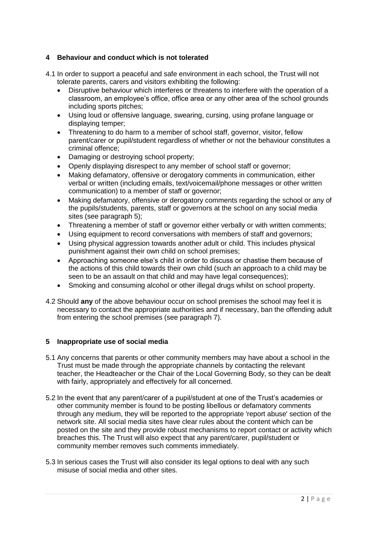#### **4 Behaviour and conduct which is not tolerated**

- 4.1 In order to support a peaceful and safe environment in each school, the Trust will not tolerate parents, carers and visitors exhibiting the following:
	- Disruptive behaviour which interferes or threatens to interfere with the operation of a classroom, an employee's office, office area or any other area of the school grounds including sports pitches;
	- Using loud or offensive language, swearing, cursing, using profane language or displaying temper;
	- Threatening to do harm to a member of school staff, governor, visitor, fellow parent/carer or pupil/student regardless of whether or not the behaviour constitutes a criminal offence;
	- Damaging or destroying school property;
	- Openly displaying disrespect to any member of school staff or governor;
	- Making defamatory, offensive or derogatory comments in communication, either verbal or written (including emails, text/voicemail/phone messages or other written communication) to a member of staff or governor;
	- Making defamatory, offensive or derogatory comments regarding the school or any of the pupils/students, parents, staff or governors at the school on any social media sites (see paragraph 5);
	- Threatening a member of staff or governor either verbally or with written comments;
	- Using equipment to record conversations with members of staff and governors;
	- Using physical aggression towards another adult or child. This includes physical punishment against their own child on school premises;
	- Approaching someone else's child in order to discuss or chastise them because of the actions of this child towards their own child (such an approach to a child may be seen to be an assault on that child and may have legal consequences);
	- Smoking and consuming alcohol or other illegal drugs whilst on school property.
- 4.2 Should **any** of the above behaviour occur on school premises the school may feel it is necessary to contact the appropriate authorities and if necessary, ban the offending adult from entering the school premises (see paragraph 7).

#### **5 Inappropriate use of social media**

- 5.1 Any concerns that parents or other community members may have about a school in the Trust must be made through the appropriate channels by contacting the relevant teacher, the Headteacher or the Chair of the Local Governing Body, so they can be dealt with fairly, appropriately and effectively for all concerned.
- 5.2 In the event that any parent/carer of a pupil/student at one of the Trust's academies or other community member is found to be posting libellous or defamatory comments through any medium, they will be reported to the appropriate 'report abuse' section of the network site. All social media sites have clear rules about the content which can be posted on the site and they provide robust mechanisms to report contact or activity which breaches this. The Trust will also expect that any parent/carer, pupil/student or community member removes such comments immediately.
- 5.3 In serious cases the Trust will also consider its legal options to deal with any such misuse of social media and other sites.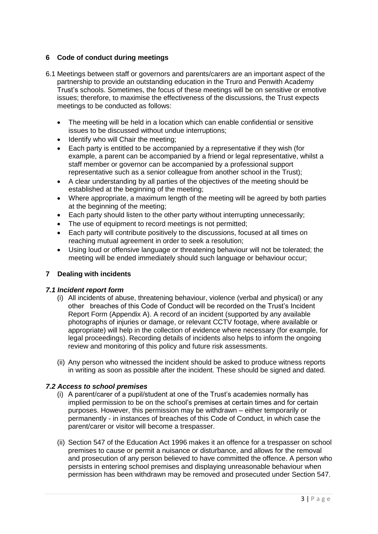#### **6 Code of conduct during meetings**

- 6.1 Meetings between staff or governors and parents/carers are an important aspect of the partnership to provide an outstanding education in the Truro and Penwith Academy Trust's schools. Sometimes, the focus of these meetings will be on sensitive or emotive issues; therefore, to maximise the effectiveness of the discussions, the Trust expects meetings to be conducted as follows:
	- The meeting will be held in a location which can enable confidential or sensitive issues to be discussed without undue interruptions;
	- Identify who will Chair the meeting;
	- Each party is entitled to be accompanied by a representative if they wish (for example, a parent can be accompanied by a friend or legal representative, whilst a staff member or governor can be accompanied by a professional support representative such as a senior colleague from another school in the Trust);
	- A clear understanding by all parties of the objectives of the meeting should be established at the beginning of the meeting;
	- Where appropriate, a maximum length of the meeting will be agreed by both parties at the beginning of the meeting;
	- Each party should listen to the other party without interrupting unnecessarily;
	- The use of equipment to record meetings is not permitted;
	- Each party will contribute positively to the discussions, focused at all times on reaching mutual agreement in order to seek a resolution;
	- Using loud or offensive language or threatening behaviour will not be tolerated; the meeting will be ended immediately should such language or behaviour occur;

#### **7 Dealing with incidents**

#### *7.1 Incident report form*

- (i) All incidents of abuse, threatening behaviour, violence (verbal and physical) or any other breaches of this Code of Conduct will be recorded on the Trust's Incident Report Form (Appendix A). A record of an incident (supported by any available photographs of injuries or damage, or relevant CCTV footage, where available or appropriate) will help in the collection of evidence where necessary (for example, for legal proceedings). Recording details of incidents also helps to inform the ongoing review and monitoring of this policy and future risk assessments.
- (ii) Any person who witnessed the incident should be asked to produce witness reports in writing as soon as possible after the incident. These should be signed and dated.

#### *7.2 Access to school premises*

- (i) A parent/carer of a pupil/student at one of the Trust's academies normally has implied permission to be on the school's premises at certain times and for certain purposes. However, this permission may be withdrawn – either temporarily or permanently - in instances of breaches of this Code of Conduct, in which case the parent/carer or visitor will become a trespasser.
- (ii) Section 547 of the Education Act 1996 makes it an offence for a trespasser on school premises to cause or permit a nuisance or disturbance, and allows for the removal and prosecution of any person believed to have committed the offence. A person who persists in entering school premises and displaying unreasonable behaviour when permission has been withdrawn may be removed and prosecuted under Section 547.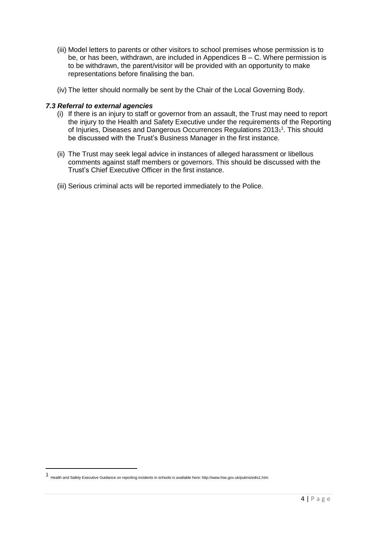- (iii) Model letters to parents or other visitors to school premises whose permission is to be, or has been, withdrawn, are included in Appendices B – C. Where permission is to be withdrawn, the parent/visitor will be provided with an opportunity to make representations before finalising the ban.
- (iv) The letter should normally be sent by the Chair of the Local Governing Body.

#### *7.3 Referral to external agencies*

- (i) If there is an injury to staff or governor from an assault, the Trust may need to report the injury to the Health and Safety Executive under the requirements of the Reporting of Injuries, Diseases and Dangerous Occurrences Regulations 2013<sup>1</sup>. This should be discussed with the Trust's Business Manager in the first instance.
- (ii) The Trust may seek legal advice in instances of alleged harassment or libellous comments against staff members or governors. This should be discussed with the Trust's Chief Executive Officer in the first instance.
- (iii) Serious criminal acts will be reported immediately to the Police.

1

<sup>1</sup> Health and Safety Executive Guidance on reporting incidents in schools is available here: http://www.hse.gov.uk/pubns/edis1.htm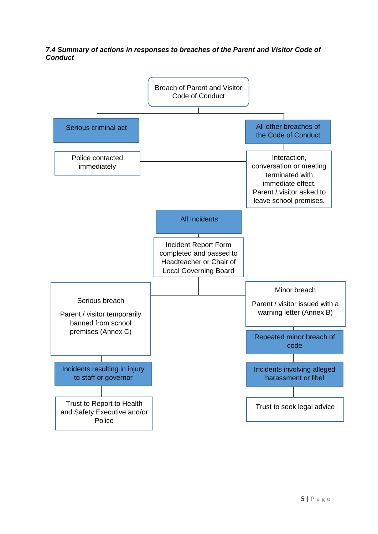#### *7.4 Summary of actions in responses to breaches of the Parent and Visitor Code of Conduct*

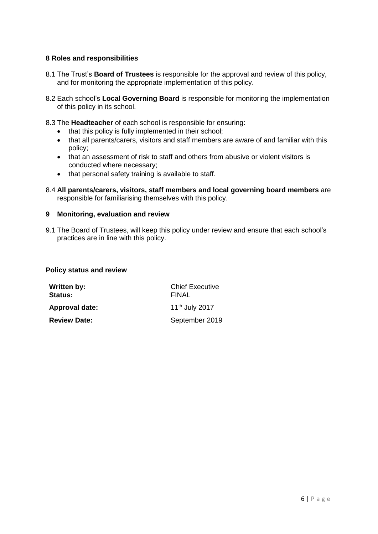#### **8 Roles and responsibilities**

- 8.1 The Trust's **Board of Trustees** is responsible for the approval and review of this policy, and for monitoring the appropriate implementation of this policy.
- 8.2 Each school's **Local Governing Board** is responsible for monitoring the implementation of this policy in its school.
- 8.3 The **Headteacher** of each school is responsible for ensuring:
	- that this policy is fully implemented in their school;
	- that all parents/carers, visitors and staff members are aware of and familiar with this policy;
	- that an assessment of risk to staff and others from abusive or violent visitors is conducted where necessary;
	- that personal safety training is available to staff.
- 8.4 **All parents/carers, visitors, staff members and local governing board members** are responsible for familiarising themselves with this policy.

#### **9 Monitoring, evaluation and review**

9.1 The Board of Trustees, will keep this policy under review and ensure that each school's practices are in line with this policy.

#### **Policy status and review**

| Written by:<br><b>Status:</b> | <b>Chief Executive</b><br><b>FINAL</b> |  |
|-------------------------------|----------------------------------------|--|
| Approval date:                | 11 <sup>th</sup> July 2017             |  |
| <b>Review Date:</b>           | September 2019                         |  |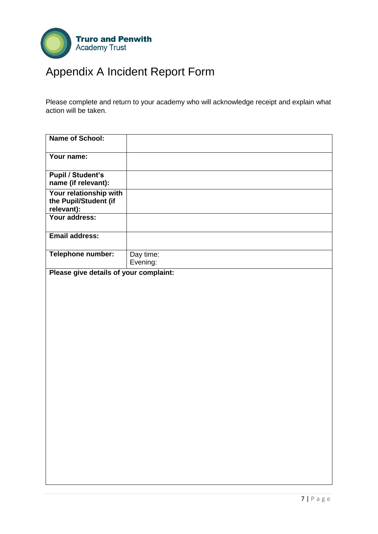

# Appendix A Incident Report Form

Please complete and return to your academy who will acknowledge receipt and explain what action will be taken.

| <b>Name of School:</b>                                        |                       |
|---------------------------------------------------------------|-----------------------|
| Your name:                                                    |                       |
| <b>Pupil / Student's</b><br>name (if relevant):               |                       |
| Your relationship with<br>the Pupil/Student (if<br>relevant): |                       |
| Your address:                                                 |                       |
| <b>Email address:</b>                                         |                       |
| Telephone number:                                             | Day time:<br>Evening: |
| Please give details of your complaint:                        |                       |
|                                                               |                       |
|                                                               |                       |
|                                                               |                       |
|                                                               |                       |
|                                                               |                       |
|                                                               |                       |
|                                                               |                       |
|                                                               |                       |
|                                                               |                       |
|                                                               |                       |
|                                                               |                       |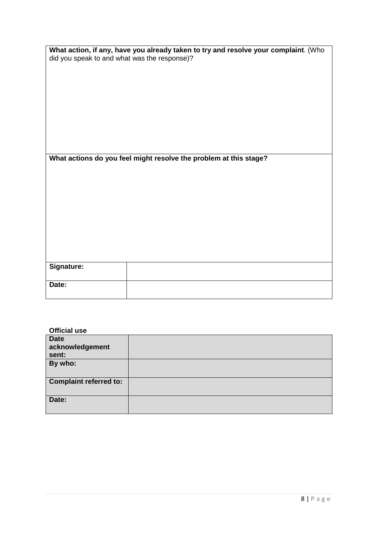| What action, if any, have you already taken to try and resolve your complaint. (Who |
|-------------------------------------------------------------------------------------|
| did you speak to and what was the response)?                                        |

| What actions do you feel might resolve the problem at this stage? |  |  |
|-------------------------------------------------------------------|--|--|
|                                                                   |  |  |

| <b>Signature:</b> |  |
|-------------------|--|
| Date:             |  |

### **Official use**

| <b>Date</b>                   |  |
|-------------------------------|--|
| acknowledgement               |  |
| sent:                         |  |
| By who:                       |  |
|                               |  |
| <b>Complaint referred to:</b> |  |
| Date:                         |  |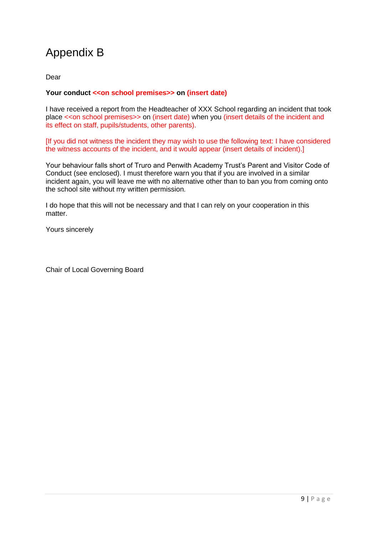### Appendix B

Dear

#### Your conduct << on school premises>> on (insert date)

I have received a report from the Headteacher of XXX School regarding an incident that took place <<on school premises>> on (insert date) when you (insert details of the incident and its effect on staff, pupils/students, other parents).

[If you did not witness the incident they may wish to use the following text: I have considered the witness accounts of the incident, and it would appear (insert details of incident).]

Your behaviour falls short of Truro and Penwith Academy Trust's Parent and Visitor Code of Conduct (see enclosed). I must therefore warn you that if you are involved in a similar incident again, you will leave me with no alternative other than to ban you from coming onto the school site without my written permission.

I do hope that this will not be necessary and that I can rely on your cooperation in this matter.

Yours sincerely

Chair of Local Governing Board